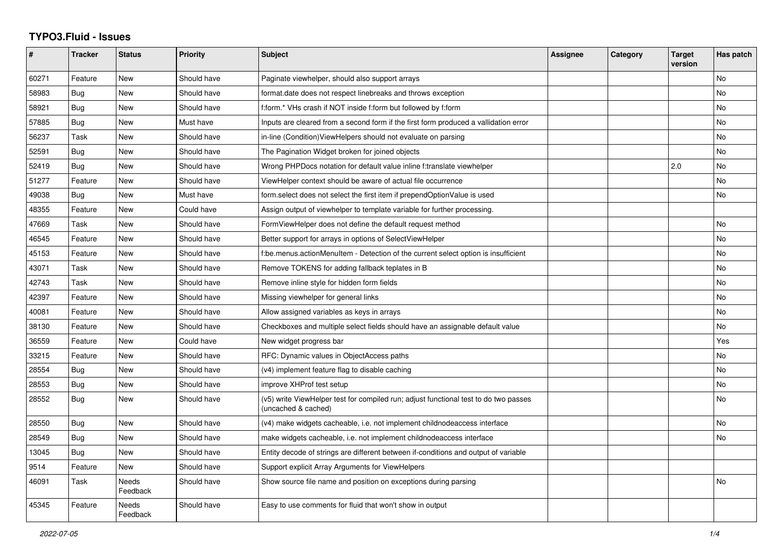## **TYPO3.Fluid - Issues**

| #     | <b>Tracker</b> | <b>Status</b>            | <b>Priority</b> | <b>Subject</b>                                                                                              | Assignee | Category | <b>Target</b><br>version | Has patch |
|-------|----------------|--------------------------|-----------------|-------------------------------------------------------------------------------------------------------------|----------|----------|--------------------------|-----------|
| 60271 | Feature        | New                      | Should have     | Paginate viewhelper, should also support arrays                                                             |          |          |                          | No        |
| 58983 | Bug            | New                      | Should have     | format.date does not respect linebreaks and throws exception                                                |          |          |                          | <b>No</b> |
| 58921 | Bug            | <b>New</b>               | Should have     | f:form.* VHs crash if NOT inside f:form but followed by f:form                                              |          |          |                          | <b>No</b> |
| 57885 | Bug            | <b>New</b>               | Must have       | Inputs are cleared from a second form if the first form produced a vallidation error                        |          |          |                          | <b>No</b> |
| 56237 | Task           | New                      | Should have     | in-line (Condition) View Helpers should not evaluate on parsing                                             |          |          |                          | No        |
| 52591 | <b>Bug</b>     | New                      | Should have     | The Pagination Widget broken for joined objects                                                             |          |          |                          | No        |
| 52419 | Bug            | New                      | Should have     | Wrong PHPDocs notation for default value inline f:translate viewhelper                                      |          |          | 2.0                      | No        |
| 51277 | Feature        | New                      | Should have     | ViewHelper context should be aware of actual file occurrence                                                |          |          |                          | <b>No</b> |
| 49038 | Bug            | New                      | Must have       | form select does not select the first item if prependOptionValue is used                                    |          |          |                          | <b>No</b> |
| 48355 | Feature        | New                      | Could have      | Assign output of viewhelper to template variable for further processing.                                    |          |          |                          |           |
| 47669 | Task           | New                      | Should have     | FormViewHelper does not define the default request method                                                   |          |          |                          | No        |
| 46545 | Feature        | New                      | Should have     | Better support for arrays in options of SelectViewHelper                                                    |          |          |                          | No        |
| 45153 | Feature        | <b>New</b>               | Should have     | f:be.menus.actionMenuItem - Detection of the current select option is insufficient                          |          |          |                          | <b>No</b> |
| 43071 | Task           | <b>New</b>               | Should have     | Remove TOKENS for adding fallback teplates in B                                                             |          |          |                          | No        |
| 42743 | Task           | <b>New</b>               | Should have     | Remove inline style for hidden form fields                                                                  |          |          |                          | No        |
| 42397 | Feature        | New                      | Should have     | Missing viewhelper for general links                                                                        |          |          |                          | No        |
| 40081 | Feature        | New                      | Should have     | Allow assigned variables as keys in arrays                                                                  |          |          |                          | No        |
| 38130 | Feature        | <b>New</b>               | Should have     | Checkboxes and multiple select fields should have an assignable default value                               |          |          |                          | <b>No</b> |
| 36559 | Feature        | <b>New</b>               | Could have      | New widget progress bar                                                                                     |          |          |                          | Yes       |
| 33215 | Feature        | <b>New</b>               | Should have     | RFC: Dynamic values in ObjectAccess paths                                                                   |          |          |                          | No        |
| 28554 | Bug            | New                      | Should have     | (v4) implement feature flag to disable caching                                                              |          |          |                          | No        |
| 28553 | Bug            | New                      | Should have     | improve XHProf test setup                                                                                   |          |          |                          | No        |
| 28552 | Bug            | <b>New</b>               | Should have     | (v5) write ViewHelper test for compiled run; adjust functional test to do two passes<br>(uncached & cached) |          |          |                          | <b>No</b> |
| 28550 | Bug            | <b>New</b>               | Should have     | (v4) make widgets cacheable, i.e. not implement childnodeaccess interface                                   |          |          |                          | <b>No</b> |
| 28549 | Bug            | New                      | Should have     | make widgets cacheable, i.e. not implement childnodeaccess interface                                        |          |          |                          | No        |
| 13045 | Bug            | <b>New</b>               | Should have     | Entity decode of strings are different between if-conditions and output of variable                         |          |          |                          |           |
| 9514  | Feature        | New                      | Should have     | Support explicit Array Arguments for ViewHelpers                                                            |          |          |                          |           |
| 46091 | Task           | Needs<br>Feedback        | Should have     | Show source file name and position on exceptions during parsing                                             |          |          |                          | No        |
| 45345 | Feature        | <b>Needs</b><br>Feedback | Should have     | Easy to use comments for fluid that won't show in output                                                    |          |          |                          |           |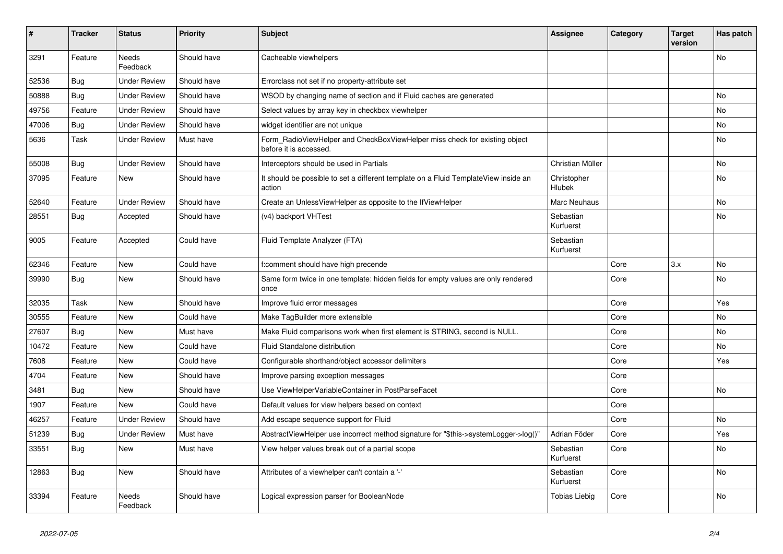| #     | <b>Tracker</b> | <b>Status</b>            | <b>Priority</b> | <b>Subject</b>                                                                                       | <b>Assignee</b>        | Category | <b>Target</b><br>version | Has patch |
|-------|----------------|--------------------------|-----------------|------------------------------------------------------------------------------------------------------|------------------------|----------|--------------------------|-----------|
| 3291  | Feature        | <b>Needs</b><br>Feedback | Should have     | Cacheable viewhelpers                                                                                |                        |          |                          | No        |
| 52536 | <b>Bug</b>     | <b>Under Review</b>      | Should have     | Errorclass not set if no property-attribute set                                                      |                        |          |                          |           |
| 50888 | <b>Bug</b>     | <b>Under Review</b>      | Should have     | WSOD by changing name of section and if Fluid caches are generated                                   |                        |          |                          | <b>No</b> |
| 49756 | Feature        | Under Review             | Should have     | Select values by array key in checkbox viewhelper                                                    |                        |          |                          | No        |
| 47006 | Bug            | <b>Under Review</b>      | Should have     | widget identifier are not unique                                                                     |                        |          |                          | No        |
| 5636  | Task           | <b>Under Review</b>      | Must have       | Form_RadioViewHelper and CheckBoxViewHelper miss check for existing object<br>before it is accessed. |                        |          |                          | <b>No</b> |
| 55008 | Bug            | <b>Under Review</b>      | Should have     | Interceptors should be used in Partials                                                              | Christian Müller       |          |                          | No        |
| 37095 | Feature        | <b>New</b>               | Should have     | It should be possible to set a different template on a Fluid TemplateView inside an<br>action        | Christopher<br>Hlubek  |          |                          | <b>No</b> |
| 52640 | Feature        | <b>Under Review</b>      | Should have     | Create an UnlessViewHelper as opposite to the IfViewHelper                                           | Marc Neuhaus           |          |                          | <b>No</b> |
| 28551 | <b>Bug</b>     | Accepted                 | Should have     | (v4) backport VHTest                                                                                 | Sebastian<br>Kurfuerst |          |                          | No        |
| 9005  | Feature        | Accepted                 | Could have      | Fluid Template Analyzer (FTA)                                                                        | Sebastian<br>Kurfuerst |          |                          |           |
| 62346 | Feature        | <b>New</b>               | Could have      | f:comment should have high precende                                                                  |                        | Core     | 3.x                      | <b>No</b> |
| 39990 | Bug            | New                      | Should have     | Same form twice in one template: hidden fields for empty values are only rendered<br>once            |                        | Core     |                          | <b>No</b> |
| 32035 | Task           | <b>New</b>               | Should have     | Improve fluid error messages                                                                         |                        | Core     |                          | Yes       |
| 30555 | Feature        | New                      | Could have      | Make TagBuilder more extensible                                                                      |                        | Core     |                          | No        |
| 27607 | Bug            | New                      | Must have       | Make Fluid comparisons work when first element is STRING, second is NULL.                            |                        | Core     |                          | No        |
| 10472 | Feature        | <b>New</b>               | Could have      | Fluid Standalone distribution                                                                        |                        | Core     |                          | No        |
| 7608  | Feature        | <b>New</b>               | Could have      | Configurable shorthand/object accessor delimiters                                                    |                        | Core     |                          | Yes       |
| 4704  | Feature        | New                      | Should have     | Improve parsing exception messages                                                                   |                        | Core     |                          |           |
| 3481  | Bug            | New                      | Should have     | Use ViewHelperVariableContainer in PostParseFacet                                                    |                        | Core     |                          | No        |
| 1907  | Feature        | New                      | Could have      | Default values for view helpers based on context                                                     |                        | Core     |                          |           |
| 46257 | Feature        | <b>Under Review</b>      | Should have     | Add escape sequence support for Fluid                                                                |                        | Core     |                          | No        |
| 51239 | <b>Bug</b>     | <b>Under Review</b>      | Must have       | AbstractViewHelper use incorrect method signature for "\$this->systemLogger->log()"                  | Adrian Föder           | Core     |                          | Yes       |
| 33551 | Bug            | <b>New</b>               | Must have       | View helper values break out of a partial scope                                                      | Sebastian<br>Kurfuerst | Core     |                          | No        |
| 12863 | Bug            | <b>New</b>               | Should have     | Attributes of a viewhelper can't contain a '-'                                                       | Sebastian<br>Kurfuerst | Core     |                          | <b>No</b> |
| 33394 | Feature        | <b>Needs</b><br>Feedback | Should have     | Logical expression parser for BooleanNode                                                            | <b>Tobias Liebig</b>   | Core     |                          | <b>No</b> |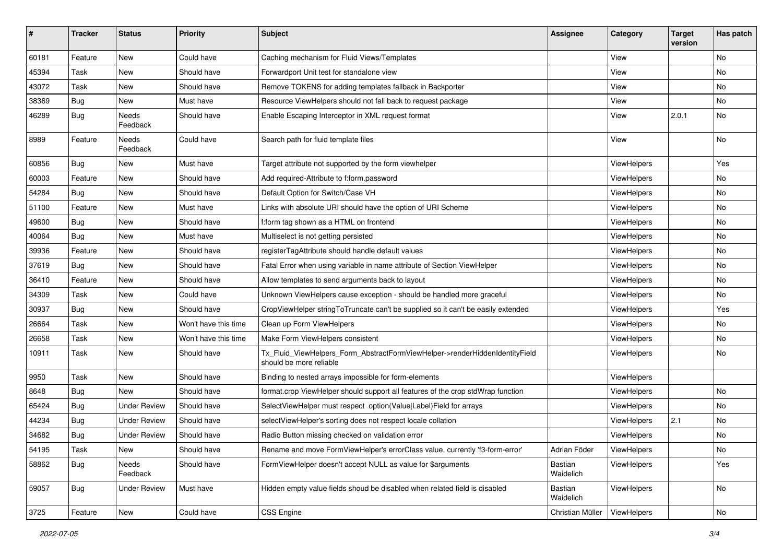| #     | <b>Tracker</b> | <b>Status</b>       | <b>Priority</b>      | Subject                                                                                                | <b>Assignee</b>      | Category           | <b>Target</b><br>version | Has patch |
|-------|----------------|---------------------|----------------------|--------------------------------------------------------------------------------------------------------|----------------------|--------------------|--------------------------|-----------|
| 60181 | Feature        | New                 | Could have           | Caching mechanism for Fluid Views/Templates                                                            |                      | View               |                          | <b>No</b> |
| 45394 | Task           | New                 | Should have          | Forwardport Unit test for standalone view                                                              |                      | View               |                          | No        |
| 43072 | Task           | New                 | Should have          | Remove TOKENS for adding templates fallback in Backporter                                              |                      | View               |                          | No        |
| 38369 | Bug            | New                 | Must have            | Resource ViewHelpers should not fall back to request package                                           |                      | View               |                          | No        |
| 46289 | <b>Bug</b>     | Needs<br>Feedback   | Should have          | Enable Escaping Interceptor in XML request format                                                      |                      | View               | 2.0.1                    | No        |
| 8989  | Feature        | Needs<br>Feedback   | Could have           | Search path for fluid template files                                                                   |                      | View               |                          | No        |
| 60856 | <b>Bug</b>     | New                 | Must have            | Target attribute not supported by the form viewhelper                                                  |                      | ViewHelpers        |                          | Yes       |
| 60003 | Feature        | New                 | Should have          | Add required-Attribute to f:form.password                                                              |                      | ViewHelpers        |                          | No        |
| 54284 | <b>Bug</b>     | New                 | Should have          | Default Option for Switch/Case VH                                                                      |                      | ViewHelpers        |                          | No        |
| 51100 | Feature        | New                 | Must have            | Links with absolute URI should have the option of URI Scheme                                           |                      | ViewHelpers        |                          | No        |
| 49600 | Bug            | New                 | Should have          | f:form tag shown as a HTML on frontend                                                                 |                      | ViewHelpers        |                          | No        |
| 40064 | <b>Bug</b>     | <b>New</b>          | Must have            | Multiselect is not getting persisted                                                                   |                      | ViewHelpers        |                          | No        |
| 39936 | Feature        | New                 | Should have          | registerTagAttribute should handle default values                                                      |                      | ViewHelpers        |                          | No        |
| 37619 | <b>Bug</b>     | New                 | Should have          | Fatal Error when using variable in name attribute of Section ViewHelper                                |                      | ViewHelpers        |                          | No        |
| 36410 | Feature        | New                 | Should have          | Allow templates to send arguments back to layout                                                       |                      | ViewHelpers        |                          | No        |
| 34309 | Task           | New                 | Could have           | Unknown ViewHelpers cause exception - should be handled more graceful                                  |                      | <b>ViewHelpers</b> |                          | No        |
| 30937 | <b>Bug</b>     | New                 | Should have          | CropViewHelper stringToTruncate can't be supplied so it can't be easily extended                       |                      | ViewHelpers        |                          | Yes       |
| 26664 | Task           | New                 | Won't have this time | Clean up Form ViewHelpers                                                                              |                      | ViewHelpers        |                          | No        |
| 26658 | Task           | New                 | Won't have this time | Make Form ViewHelpers consistent                                                                       |                      | ViewHelpers        |                          | No        |
| 10911 | Task           | New                 | Should have          | Tx_Fluid_ViewHelpers_Form_AbstractFormViewHelper->renderHiddenIdentityField<br>should be more reliable |                      | ViewHelpers        |                          | No        |
| 9950  | Task           | New                 | Should have          | Binding to nested arrays impossible for form-elements                                                  |                      | ViewHelpers        |                          |           |
| 8648  | Bug            | New                 | Should have          | format.crop ViewHelper should support all features of the crop stdWrap function                        |                      | ViewHelpers        |                          | No        |
| 65424 | Bug            | <b>Under Review</b> | Should have          | SelectViewHelper must respect option(Value Label)Field for arrays                                      |                      | ViewHelpers        |                          | No        |
| 44234 | <b>Bug</b>     | <b>Under Review</b> | Should have          | selectViewHelper's sorting does not respect locale collation                                           |                      | ViewHelpers        | 2.1                      | No        |
| 34682 | <b>Bug</b>     | <b>Under Review</b> | Should have          | Radio Button missing checked on validation error                                                       |                      | ViewHelpers        |                          | No        |
| 54195 | Task           | New                 | Should have          | Rename and move FormViewHelper's errorClass value, currently 'f3-form-error'                           | Adrian Föder         | ViewHelpers        |                          | No        |
| 58862 | Bug            | Needs<br>Feedback   | Should have          | FormViewHelper doesn't accept NULL as value for \$arguments                                            | Bastian<br>Waidelich | ViewHelpers        |                          | Yes       |
| 59057 | Bug            | <b>Under Review</b> | Must have            | Hidden empty value fields shoud be disabled when related field is disabled                             | Bastian<br>Waidelich | ViewHelpers        |                          | No        |
| 3725  | Feature        | New                 | Could have           | <b>CSS Engine</b>                                                                                      | Christian Müller     | ViewHelpers        |                          | No        |